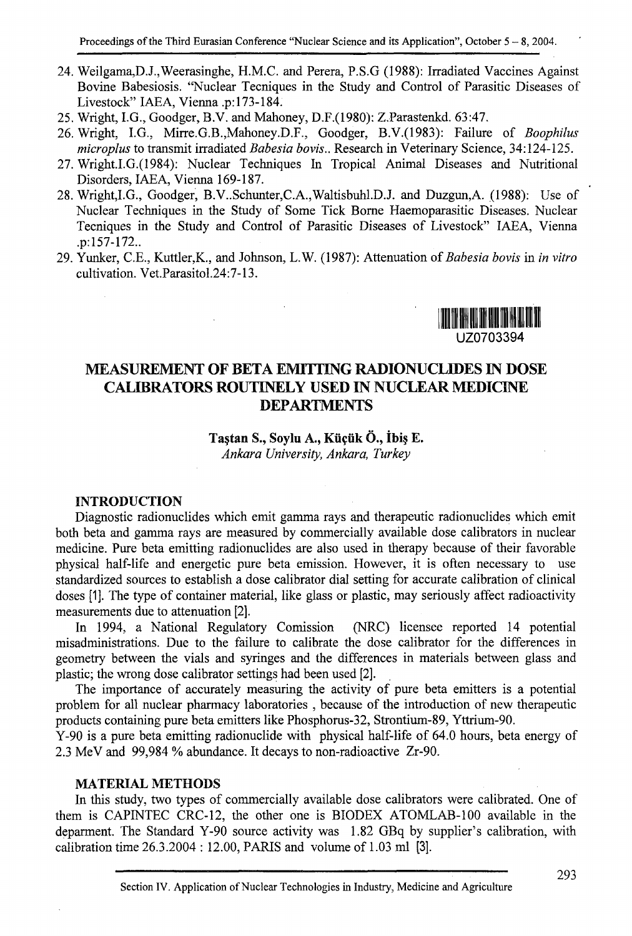- 24. Weilgama,D.J.,Weerasinghe, H.M.C. and Perera, P.S.G (1988): Irradiated Vaccines Against Bovine Babesiosis. "Nuclear Tecniques in the Study and Control of Parasitic Diseases of Livestock" IAEA, Vienna .p: 173-184.
- 25. Wright, I.G., Goodger, B.V. and Mahoney, D.F.(1980): Z.Parastenkd. 63:47.
- 26. Wright, I.G., Mirre.G.B.,Mahoney.D.F., Goodger, B.V.(1983): Failure of *Boophilus microplus* to transmit irradiated *Babesia bovis..* Research in Veterinary Science, 34:124-125.
- 27. Wright.I.G.(1984): Nuclear Techniques In Tropical Animal Diseases and Nutritional Disorders, IAEA, Vienna 169-187.
- 28. Wright,I.G., Goodger, B.V..Schunter,C.A.,Waltisbuhl.D.J. and Duzgun,A. (1988): Use of Nuclear Techniques in the Study of Some Tick Borne Haemoparasitic Diseases. Nuclear Tecniques in the Study and Control of Parasitic Diseases of Livestock" IAEA, Vienna .p:157-172..
- 29. Yunker, C.E., Kuttler,K., and Johnson, L.W. (1987): Attenuation of *Babesia bovis* in *in vitro*  cultivation. Vet.Parasitol.24:7-13.



# **MEASUREMENT OF BETA EMITTING RADIONUCLIDES IN DOSE CALIBRATORS ROUTINELY USED IN NUCLEAR MEDICINE DEPARTMENTS**

#### Taştan S., Soylu A., Küçük Ö., İbiş E. *Ankara University, Ankara, Turkey*

 $\mathcal{L}$ 

**INTRODUCTION**  Diagnostic radionuclides which emit gamma rays and therapeutic radionuclides which emit both beta and gamma rays are measured by commercially available dose calibrators in nuclear medicine. Pure beta emitting radionuclides are also used in therapy because of their favorable physical half-life and energetic pure beta emission. However, it is often necessary to use standardized sources to establish a dose calibrator dial setting for accurate calibration of clinical doses [1]. The type of container material, like glass or plastic, may seriously affect radioactivity measurements due to attenuation [2].

### In 1994, a National Regulatory Comission (NRC) licensee reported 14 potential misadministrations. Due to the failure to calibrate the dose calibrator for the differences in geometry between the vials and syringes and the differences in materials between glass and plastic; the wrong dose calibrator settings had been used [2].

The importance of accurately measuring the activity of pure beta emitters is a potential problem for all nuclear pharmacy laboratories , because of the introduction of new therapeutic products containing pure beta emitters like Phosphorus-32, Strontium-89, Yttrium-90.

Y-90 is a pure beta emitting radionuclide with physical half-life of 64.0 hours, beta energy of 2.3 MeV and 99,984 % abundance. It decays to non-radioactive Zr-90.

#### **MATERIAL METHODS**

In this study, two types of commercially available dose calibrators were calibrated. One of them is CAPINTEC CRC-12, the other one is BIODEX ATOMLAB-100 available in the deparment. The Standard Y-90 source activity was 1.82 GBq by supplier's calibration, with calibration time 26.3.2004 : 12.00, PARIS and volume of 1.03 ml [3].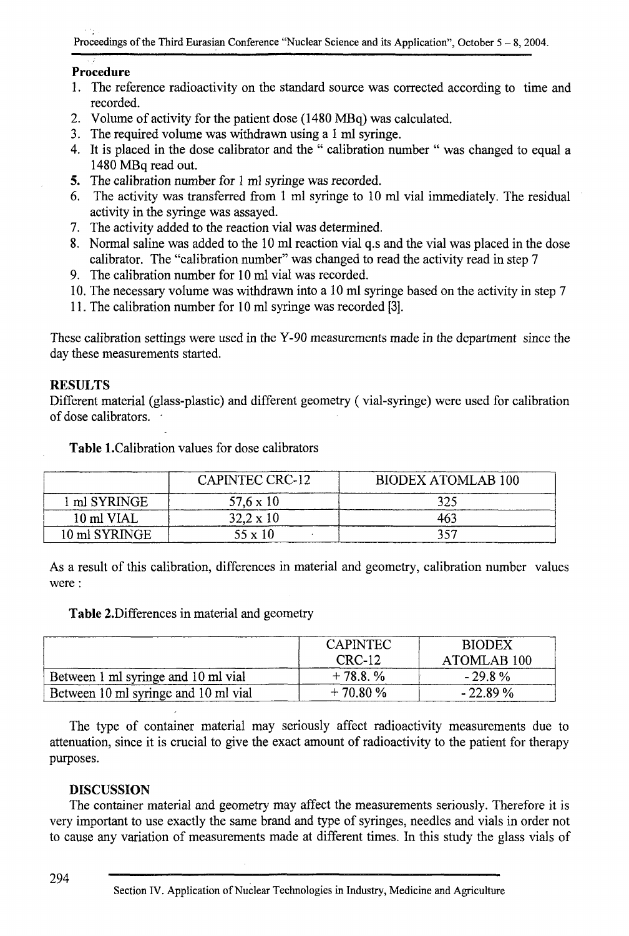# **Procedure**

- 1. The reference radioactivity on the standard source was corrected according to time and recorded.
- 2. Volume of activity for the patient dose (1480 MBq) was calculated.
- 3. The required volume was withdrawn using a 1 ml syringe.
- 4. It is placed in the dose calibrator and the " calibration number " was changed to equal a 1480 MBq read out.
- 5. The calibration number for 1 ml syringe was recorded.
- 6. The activity was transferred from 1 ml syringe to 10 ml vial immediately. The residual activity in the syringe was assayed.
- 7. The activity added to the reaction vial was determined.
- 8. Normal saline was added to the 10 ml reaction vial q.s and the vial was placed in the dose calibrator. The "calibration number" was changed to read the activity read in step 7
- 9. The calibration number for 10 ml vial was recorded.
- 10. The necessary volume was withdrawn into a 10 ml syringe based on the activity in step 7
- 11. The calibration number for 10 ml syringe was recorded [3].

These calibration settings were used in the Y-90 measurements made in the department since the day these measurements started.

# RESULTS

Different material (glass-plastic) and different geometry (vial-syringe) were used for calibration of dose calibrators. '

|               | <b>CAPINTEC CRC-12</b> | <b>BIODEX ATOMLAB 100</b> |  |
|---------------|------------------------|---------------------------|--|
| ml SYRINGE    | $57.6 \times 10$       |                           |  |
| 10 ml VIAL    | $32.2 \times 10$       |                           |  |
| 10 ml SYRINGE | $55 \times 10$         |                           |  |

**Table 1.**Calibration values for dose calibrators

As a result of this calibration, differences in material and geometry, calibration number values were :

# **Table** 2.Differences in material and geometry

|                                      | <b>CAPINTEC</b><br>CRC-12 | <b>BIODEX</b><br>ATOMLAB <sub>100</sub> |
|--------------------------------------|---------------------------|-----------------------------------------|
| Between 1 ml syringe and 10 ml vial  | $+78.8, \%$               | $-29.8\%$                               |
| Between 10 ml syringe and 10 ml vial | $+70.80%$                 | $-22.89%$                               |

The type of container material may seriously affect radioactivity measurements due to attenuation, since it is crucial to give the exact amount of radioactivity to the patient for therapy purposes.

# DISCUSSION

The container material and geometry may affect the measurements seriously. Therefore it is very important to use exactly the same brand and type of syringes, needles and vials in order not to cause any variation of measurements made at different times. In this study the glass vials of